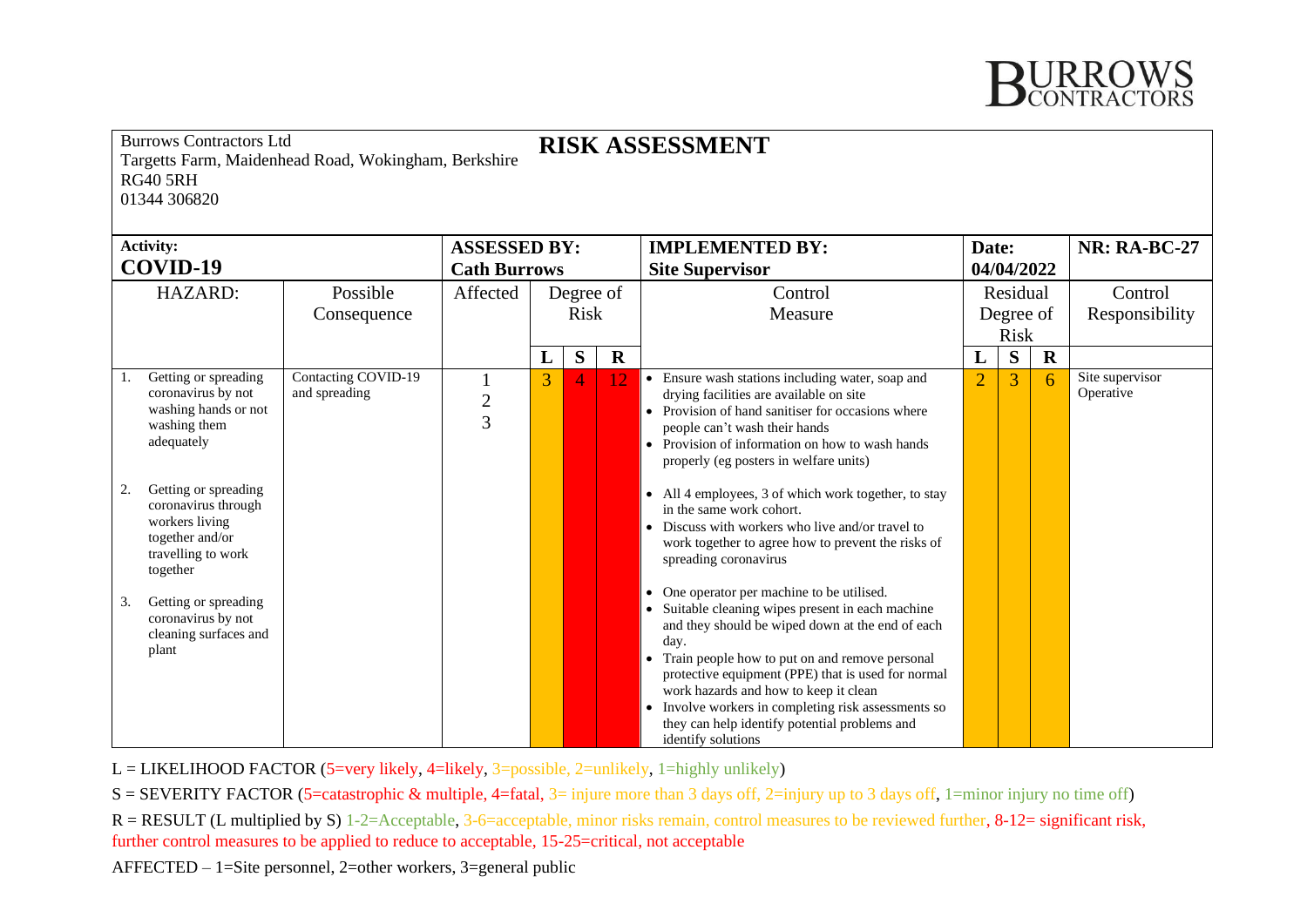

| <b>Burrows Contractors Ltd</b><br><b>RISK ASSESSMENT</b><br>Targetts Farm, Maidenhead Road, Wokingham, Berkshire<br><b>RG40 5RH</b><br>01344 306820<br><b>Activity:</b><br><b>NR: RA-BC-27</b><br><b>ASSESSED BY:</b><br><b>IMPLEMENTED BY:</b><br>Date: |                                                                                                                                                 |                                      |                     |           |   |             |                                                                                                                                                                                                                                                                                                                                                                                                |                          |   |             |                              |
|----------------------------------------------------------------------------------------------------------------------------------------------------------------------------------------------------------------------------------------------------------|-------------------------------------------------------------------------------------------------------------------------------------------------|--------------------------------------|---------------------|-----------|---|-------------|------------------------------------------------------------------------------------------------------------------------------------------------------------------------------------------------------------------------------------------------------------------------------------------------------------------------------------------------------------------------------------------------|--------------------------|---|-------------|------------------------------|
| COVID-19                                                                                                                                                                                                                                                 |                                                                                                                                                 |                                      | <b>Cath Burrows</b> |           |   |             | <b>Site Supervisor</b>                                                                                                                                                                                                                                                                                                                                                                         | 04/04/2022               |   |             |                              |
|                                                                                                                                                                                                                                                          | HAZARD:                                                                                                                                         | Possible                             | Affected            | Degree of |   |             | Control                                                                                                                                                                                                                                                                                                                                                                                        | Residual                 |   |             | Control                      |
|                                                                                                                                                                                                                                                          |                                                                                                                                                 | Consequence                          |                     | Risk      |   |             | Measure                                                                                                                                                                                                                                                                                                                                                                                        | Degree of<br><b>Risk</b> |   |             | Responsibility               |
|                                                                                                                                                                                                                                                          |                                                                                                                                                 |                                      |                     | L         | S | $\mathbf R$ |                                                                                                                                                                                                                                                                                                                                                                                                | L                        | S | $\mathbf R$ |                              |
| 2.                                                                                                                                                                                                                                                       | Getting or spreading<br>coronavirus by not<br>washing hands or not<br>washing them<br>adequately<br>Getting or spreading<br>coronavirus through | Contacting COVID-19<br>and spreading | $\frac{2}{3}$       | 3         | 4 | 12          | • Ensure wash stations including water, soap and<br>drying facilities are available on site<br>• Provision of hand sanitiser for occasions where<br>people can't wash their hands<br>• Provision of information on how to wash hands<br>properly (eg posters in welfare units)<br>• All 4 employees, 3 of which work together, to stay<br>in the same work cohort.                             | $\overline{2}$           | 3 | 6           | Site supervisor<br>Operative |
|                                                                                                                                                                                                                                                          | workers living<br>together and/or<br>travelling to work<br>together                                                                             |                                      |                     |           |   |             | • Discuss with workers who live and/or travel to<br>work together to agree how to prevent the risks of<br>spreading coronavirus<br>• One operator per machine to be utilised.                                                                                                                                                                                                                  |                          |   |             |                              |
| 3.                                                                                                                                                                                                                                                       | Getting or spreading<br>coronavirus by not<br>cleaning surfaces and<br>plant                                                                    |                                      |                     |           |   |             | • Suitable cleaning wipes present in each machine<br>and they should be wiped down at the end of each<br>day.<br>• Train people how to put on and remove personal<br>protective equipment (PPE) that is used for normal<br>work hazards and how to keep it clean<br>• Involve workers in completing risk assessments so<br>they can help identify potential problems and<br>identify solutions |                          |   |             |                              |

L = LIKELIHOOD FACTOR (5=very likely, 4=likely, 3=possible, 2=unlikely, 1=highly unlikely)

S = SEVERITY FACTOR (5=catastrophic & multiple, 4=fatal, 3= injure more than 3 days off, 2=injury up to 3 days off, 1=minor injury no time off)

 $R = RESULT (L$  multiplied by S) 1-2=Acceptable, 3-6=acceptable, minor risks remain, control measures to be reviewed further, 8-12= significant risk, further control measures to be applied to reduce to acceptable, 15-25=critical, not acceptable

AFFECTED – 1=Site personnel, 2=other workers, 3=general public